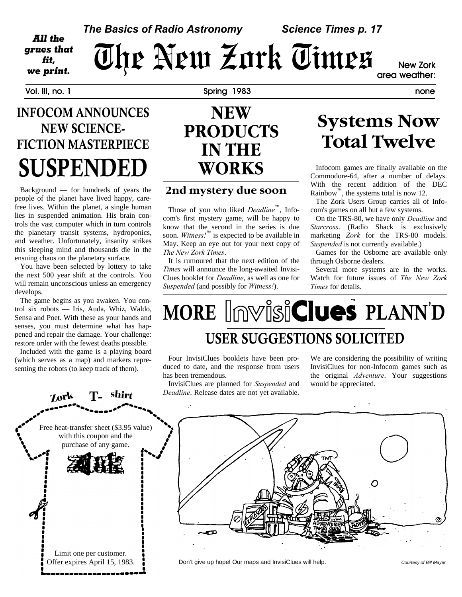#### *The Basics of Radio Astronomy Science Times p. 17*

*Trues that*  $\overline{U}$  of  $P$   $\overline{U}$   $\overline{U}$   $\overline{U}$   $\overline{U}$   $\overline{U}$   $\overline{U}$   $\overline{U}$   $\overline{U}$   $\overline{U}$   $\overline{U}$   $\overline{U}$   $\overline{U}$   $\overline{U}$   $\overline{U}$   $\overline{U}$   $\overline{U}$   $\overline{U}$   $\overline{U}$   $\overline{U}$   $\overline{U}$   $\overline{U}$   $\overline$ **area weather:**

All the grues that fit,

**Vol. III, no. 1 Spring 1983 none**

#### **INFOCOM ANNOUNCES NEW SCIENCE-FICTION MASTERPIECE SUSPENDED**

Background — for hundreds of years the people of the planet have lived happy, carefree lives. Within the planet, a single human lies in suspended animation. His brain controls the vast computer which in turn controls the planetary transit systems, hydroponics, and weather. Unfortunately, insanity strikes this sleeping mind and thousands die in the ensuing chaos on the planetary surface.

You have been selected by lottery to take the next 500 year shift at the controls. You will remain unconscious unless an emergency develops.

The game begins as you awaken. You control six robots — Iris, Auda, Whiz, Waldo, Sensa and Poet. With these as your hands and senses, you must determine what has happened and repair the damage. Your challenge: restore order with the fewest deaths possible.

Included with the game is a playing board (which serves as a map) and markers representing the robots (to keep track of them).

#### **NEW PRODUCTS IN THE WORKS**

#### **2nd mystery due soon**

Those of you who liked *Deadline*™, Infocom's first mystery game, will be happy to know that the second in the series is due soon. *Witness!*™ is expected to be available in May. Keep an eye out for your next copy of *The New Zork Times*.

It is rumoured that the next edition of the *Times* will announce the long-awaited Invisi-Clues booklet for *Deadline*, as well as one for *Suspended* (and possibly for *Witness!*).

### **Systems Now Total Twelve**

Infocom games are finally available on the Commodore-64, after a number of delays. With the recent addition of the DEC Rainbow<sup>"</sup>, the systems total is now 12.

The Zork Users Group carries all of Infocom's games on all but a few systems.

On the TRS-80, we have only *Deadline* and *Starcross*. (Radio Shack is exclusively marketing *Zork* for the TRS-80 models. *Suspended* is not currently available.)

Games for the Osborne are available only through Osborne dealers.

Several more systems are in the works. Watch for future issues of *The New Zork Times* for details.

## $MORE$  *Imvisiclues*  $PLANN'D$ **USER SUGGESTIONS SOLICITED**

Four InvisiClues booklets have been produced to date, and the response from users has been tremendous.

InvisiClues are planned for *Suspended* and *Deadline*. Release dates are not yet available.

We are considering the possibility of writing InvisiClues for non-Infocom games such as the original *Adventure*. Your suggestions would be appreciated.